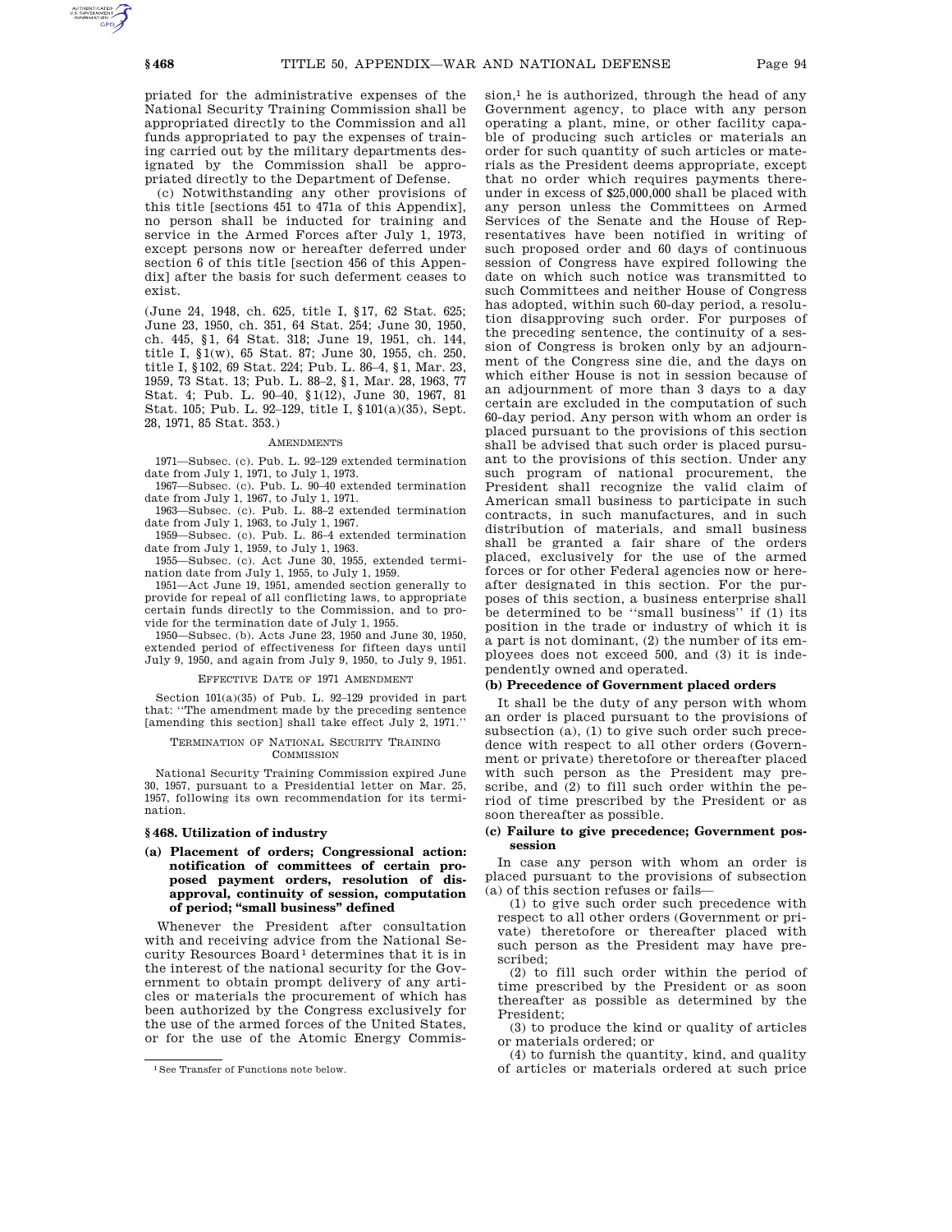priated for the administrative expenses of the National Security Training Commission shall be appropriated directly to the Commission and all funds appropriated to pay the expenses of training carried out by the military departments designated by the Commission shall be appropriated directly to the Department of Defense.

(c) Notwithstanding any other provisions of this title [sections 451 to 471a of this Appendix], no person shall be inducted for training and service in the Armed Forces after July 1, 1973, except persons now or hereafter deferred under section 6 of this title [section 456 of this Appendix] after the basis for such deferment ceases to exist.

(June 24, 1948, ch. 625, title I, §17, 62 Stat. 625; June 23, 1950, ch. 351, 64 Stat. 254; June 30, 1950, ch. 445, §1, 64 Stat. 318; June 19, 1951, ch. 144, title I, §1(w), 65 Stat. 87; June 30, 1955, ch. 250, title I, §102, 69 Stat. 224; Pub. L. 86–4, §1, Mar. 23, 1959, 73 Stat. 13; Pub. L. 88–2, §1, Mar. 28, 1963, 77 Stat. 4; Pub. L. 90–40, §1(12), June 30, 1967, 81 Stat. 105; Pub. L. 92–129, title I, §101(a)(35), Sept. 28, 1971, 85 Stat. 353.)

### **AMENDMENTS**

1971—Subsec. (c). Pub. L. 92–129 extended termination date from July 1, 1971, to July 1, 1973.

1967—Subsec. (c). Pub. L. 90–40 extended termination date from July 1, 1967, to July 1, 1971.

1963—Subsec. (c). Pub. L. 88–2 extended termination date from July 1, 1963, to July 1, 1967.

1959—Subsec. (c). Pub. L. 86–4 extended termination date from July 1, 1959, to July 1, 1963.

1955—Subsec. (c). Act June 30, 1955, extended termination date from July 1, 1955, to July 1, 1959.

1951—Act June 19, 1951, amended section generally to provide for repeal of all conflicting laws, to appropriate certain funds directly to the Commission, and to provide for the termination date of July 1, 1955.

1950—Subsec. (b). Acts June 23, 1950 and June 30, 1950, extended period of effectiveness for fifteen days until July 9, 1950, and again from July 9, 1950, to July 9, 1951.

#### EFFECTIVE DATE OF 1971 AMENDMENT

Section 101(a)(35) of Pub. L. 92–129 provided in part that: ''The amendment made by the preceding sentence [amending this section] shall take effect July 2, 1971.''

## TERMINATION OF NATIONAL SECURITY TRAINING COMMISSION

National Security Training Commission expired June 30, 1957, pursuant to a Presidential letter on Mar. 25, 1957, following its own recommendation for its termination.

## **§ 468. Utilization of industry**

# **(a) Placement of orders; Congressional action: notification of committees of certain proposed payment orders, resolution of disapproval, continuity of session, computation of period; ''small business'' defined**

Whenever the President after consultation with and receiving advice from the National Security Resources Board<sup>1</sup> determines that it is in the interest of the national security for the Government to obtain prompt delivery of any articles or materials the procurement of which has been authorized by the Congress exclusively for the use of the armed forces of the United States, or for the use of the Atomic Energy Commis $sion<sup>1</sup>$  he is authorized, through the head of any Government agency, to place with any person operating a plant, mine, or other facility capable of producing such articles or materials an order for such quantity of such articles or materials as the President deems appropriate, except that no order which requires payments thereunder in excess of \$25,000,000 shall be placed with any person unless the Committees on Armed Services of the Senate and the House of Representatives have been notified in writing of such proposed order and 60 days of continuous session of Congress have expired following the date on which such notice was transmitted to such Committees and neither House of Congress has adopted, within such 60-day period, a resolution disapproving such order. For purposes of the preceding sentence, the continuity of a session of Congress is broken only by an adjournment of the Congress sine die, and the days on which either House is not in session because of an adjournment of more than 3 days to a day certain are excluded in the computation of such 60-day period. Any person with whom an order is placed pursuant to the provisions of this section shall be advised that such order is placed pursuant to the provisions of this section. Under any such program of national procurement, the President shall recognize the valid claim of American small business to participate in such contracts, in such manufactures, and in such distribution of materials, and small business shall be granted a fair share of the orders placed, exclusively for the use of the armed forces or for other Federal agencies now or hereafter designated in this section. For the purposes of this section, a business enterprise shall be determined to be "small business" if (1) its position in the trade or industry of which it is a part is not dominant, (2) the number of its employees does not exceed 500, and (3) it is independently owned and operated.

# **(b) Precedence of Government placed orders**

It shall be the duty of any person with whom an order is placed pursuant to the provisions of subsection (a), (1) to give such order such precedence with respect to all other orders (Government or private) theretofore or thereafter placed with such person as the President may prescribe, and (2) to fill such order within the period of time prescribed by the President or as soon thereafter as possible.

## **(c) Failure to give precedence; Government possession**

In case any person with whom an order is placed pursuant to the provisions of subsection (a) of this section refuses or fails—

(1) to give such order such precedence with respect to all other orders (Government or private) theretofore or thereafter placed with such person as the President may have prescribed;

(2) to fill such order within the period of time prescribed by the President or as soon thereafter as possible as determined by the President;

(3) to produce the kind or quality of articles or materials ordered; or

(4) to furnish the quantity, kind, and quality of articles or materials ordered at such price

<sup>1</sup>See Transfer of Functions note below.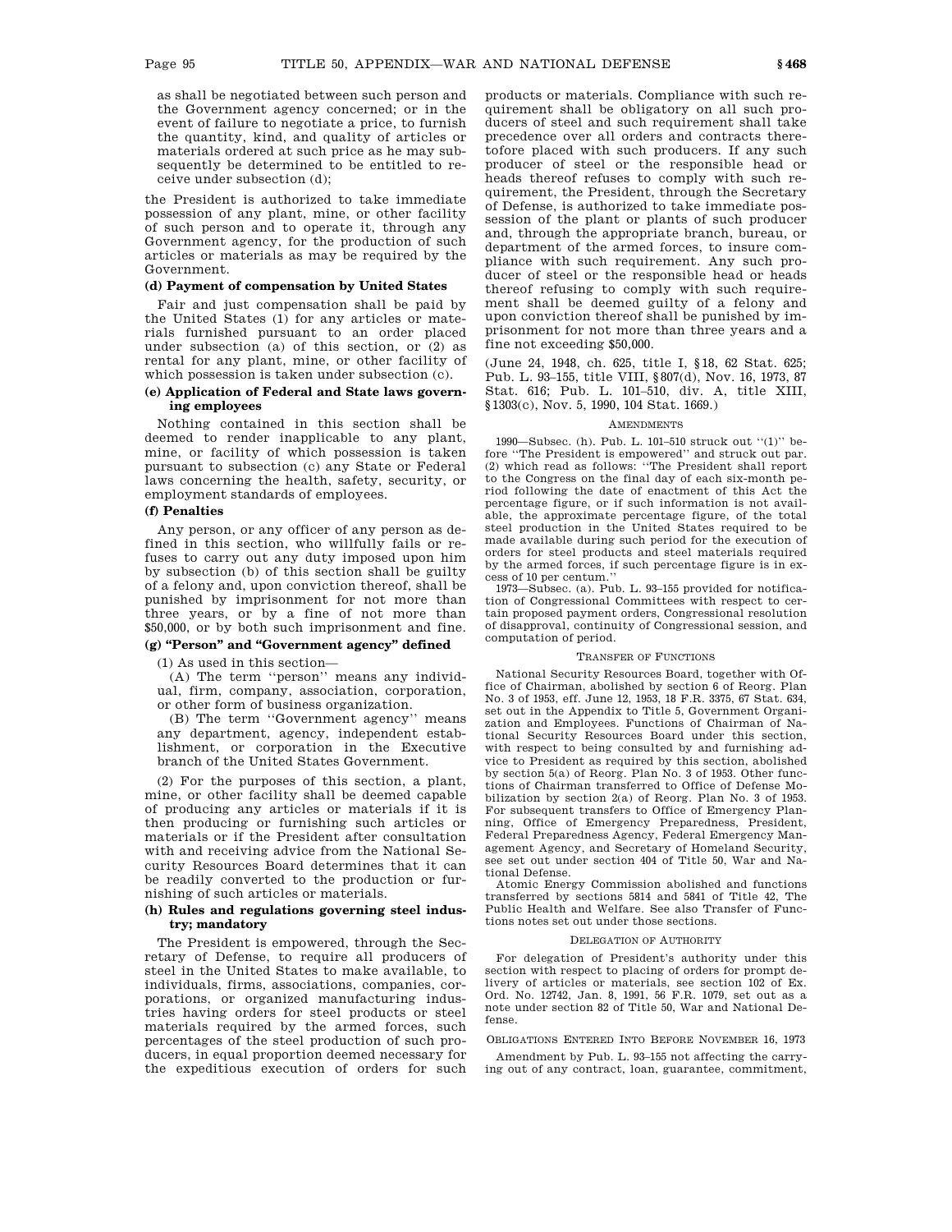as shall be negotiated between such person and the Government agency concerned; or in the event of failure to negotiate a price, to furnish the quantity, kind, and quality of articles or materials ordered at such price as he may subsequently be determined to be entitled to receive under subsection (d);

the President is authorized to take immediate possession of any plant, mine, or other facility of such person and to operate it, through any Government agency, for the production of such articles or materials as may be required by the Government.

# **(d) Payment of compensation by United States**

Fair and just compensation shall be paid by the United States (1) for any articles or materials furnished pursuant to an order placed under subsection (a) of this section, or (2) as rental for any plant, mine, or other facility of which possession is taken under subsection (c).

# **(e) Application of Federal and State laws governing employees**

Nothing contained in this section shall be deemed to render inapplicable to any plant, mine, or facility of which possession is taken pursuant to subsection (c) any State or Federal laws concerning the health, safety, security, or employment standards of employees.

# **(f) Penalties**

Any person, or any officer of any person as defined in this section, who willfully fails or refuses to carry out any duty imposed upon him by subsection (b) of this section shall be guilty of a felony and, upon conviction thereof, shall be punished by imprisonment for not more than three years, or by a fine of not more than \$50,000, or by both such imprisonment and fine.

# **(g) ''Person'' and ''Government agency'' defined**

(1) As used in this section—

(A) The term ''person'' means any individual, firm, company, association, corporation, or other form of business organization.

(B) The term ''Government agency'' means any department, agency, independent establishment, or corporation in the Executive branch of the United States Government.

(2) For the purposes of this section, a plant, mine, or other facility shall be deemed capable of producing any articles or materials if it is then producing or furnishing such articles or materials or if the President after consultation with and receiving advice from the National Security Resources Board determines that it can be readily converted to the production or furnishing of such articles or materials.

## **(h) Rules and regulations governing steel industry; mandatory**

The President is empowered, through the Secretary of Defense, to require all producers of steel in the United States to make available, to individuals, firms, associations, companies, corporations, or organized manufacturing industries having orders for steel products or steel materials required by the armed forces, such percentages of the steel production of such producers, in equal proportion deemed necessary for the expeditious execution of orders for such products or materials. Compliance with such requirement shall be obligatory on all such producers of steel and such requirement shall take precedence over all orders and contracts theretofore placed with such producers. If any such producer of steel or the responsible head or heads thereof refuses to comply with such requirement, the President, through the Secretary of Defense, is authorized to take immediate possession of the plant or plants of such producer and, through the appropriate branch, bureau, or department of the armed forces, to insure compliance with such requirement. Any such producer of steel or the responsible head or heads thereof refusing to comply with such requirement shall be deemed guilty of a felony and upon conviction thereof shall be punished by imprisonment for not more than three years and a fine not exceeding \$50,000.

(June 24, 1948, ch. 625, title I, §18, 62 Stat. 625; Pub. L. 93–155, title VIII, §807(d), Nov. 16, 1973, 87 Stat. 616; Pub. L. 101–510, div. A, title XIII, §1303(c), Nov. 5, 1990, 104 Stat. 1669.)

## AMENDMENTS

1990—Subsec. (h). Pub. L. 101–510 struck out ''(1)'' before ''The President is empowered'' and struck out par. (2) which read as follows: ''The President shall report to the Congress on the final day of each six-month period following the date of enactment of this Act the percentage figure, or if such information is not available, the approximate percentage figure, of the total steel production in the United States required to be made available during such period for the execution of orders for steel products and steel materials required by the armed forces, if such percentage figure is in excess of 10 per centum.''

1973—Subsec. (a). Pub. L. 93–155 provided for notification of Congressional Committees with respect to certain proposed payment orders, Congressional resolution of disapproval, continuity of Congressional session, and computation of period.

## TRANSFER OF FUNCTIONS

National Security Resources Board, together with Office of Chairman, abolished by section 6 of Reorg. Plan No. 3 of 1953, eff. June 12, 1953, 18 F.R. 3375, 67 Stat. 634, set out in the Appendix to Title 5, Government Organization and Employees. Functions of Chairman of National Security Resources Board under this section, with respect to being consulted by and furnishing advice to President as required by this section, abolished by section 5(a) of Reorg. Plan No. 3 of 1953. Other functions of Chairman transferred to Office of Defense Mobilization by section 2(a) of Reorg. Plan No. 3 of 1953. For subsequent transfers to Office of Emergency Planning, Office of Emergency Preparedness, President, Federal Preparedness Agency, Federal Emergency Management Agency, and Secretary of Homeland Security, see set out under section 404 of Title 50, War and National Defense.

Atomic Energy Commission abolished and functions transferred by sections 5814 and 5841 of Title 42, The Public Health and Welfare. See also Transfer of Functions notes set out under those sections.

#### DELEGATION OF AUTHORITY

For delegation of President's authority under this section with respect to placing of orders for prompt delivery of articles or materials, see section 102 of Ex. Ord. No. 12742, Jan. 8, 1991, 56 F.R. 1079, set out as a note under section 82 of Title 50, War and National Defense.

OBLIGATIONS ENTERED INTO BEFORE NOVEMBER 16, 1973

Amendment by Pub. L. 93–155 not affecting the carrying out of any contract, loan, guarantee, commitment,